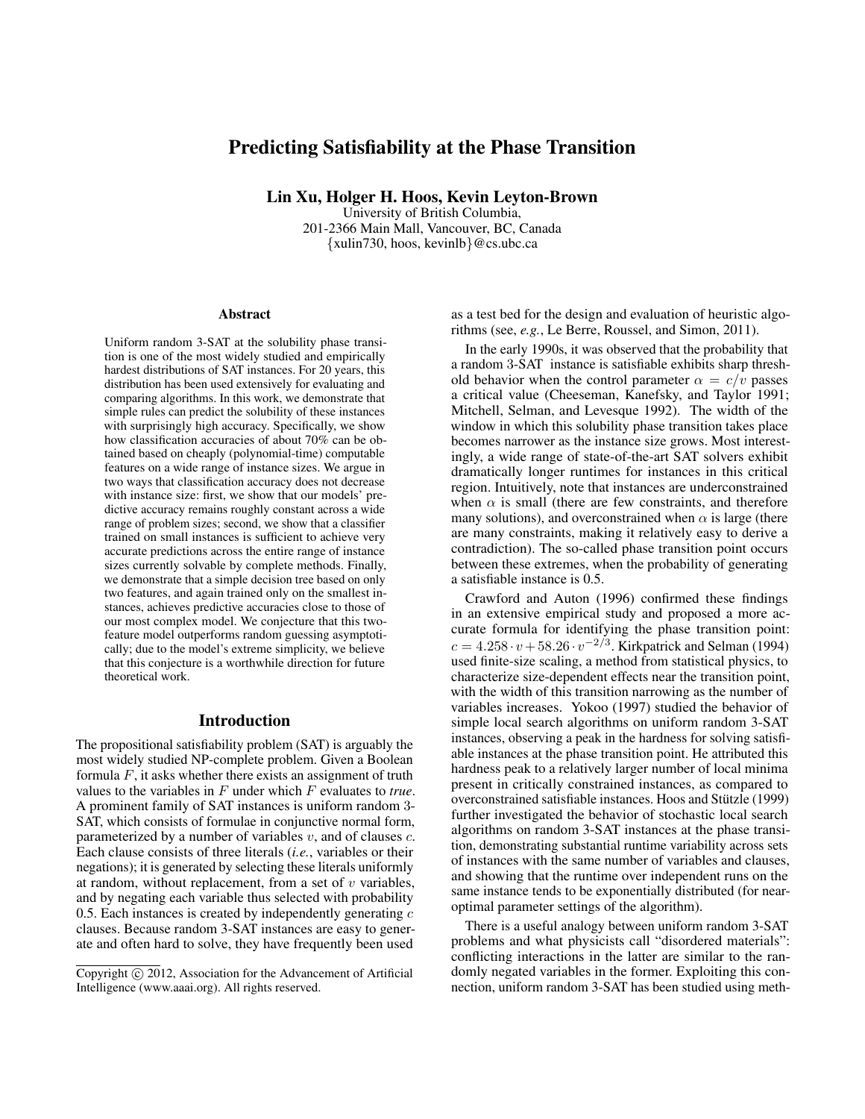# Predicting Satisfiability at the Phase Transition

Lin Xu, Holger H. Hoos, Kevin Leyton-Brown

University of British Columbia, 201-2366 Main Mall, Vancouver, BC, Canada {xulin730, hoos, kevinlb}@cs.ubc.ca

#### Abstract

Uniform random 3-SAT at the solubility phase transition is one of the most widely studied and empirically hardest distributions of SAT instances. For 20 years, this distribution has been used extensively for evaluating and comparing algorithms. In this work, we demonstrate that simple rules can predict the solubility of these instances with surprisingly high accuracy. Specifically, we show how classification accuracies of about 70% can be obtained based on cheaply (polynomial-time) computable features on a wide range of instance sizes. We argue in two ways that classification accuracy does not decrease with instance size: first, we show that our models' predictive accuracy remains roughly constant across a wide range of problem sizes; second, we show that a classifier trained on small instances is sufficient to achieve very accurate predictions across the entire range of instance sizes currently solvable by complete methods. Finally, we demonstrate that a simple decision tree based on only two features, and again trained only on the smallest instances, achieves predictive accuracies close to those of our most complex model. We conjecture that this twofeature model outperforms random guessing asymptotically; due to the model's extreme simplicity, we believe that this conjecture is a worthwhile direction for future theoretical work.

### Introduction

The propositional satisfiability problem (SAT) is arguably the most widely studied NP-complete problem. Given a Boolean formula  $F$ , it asks whether there exists an assignment of truth values to the variables in F under which F evaluates to *true*. A prominent family of SAT instances is uniform random 3- SAT, which consists of formulae in conjunctive normal form, parameterized by a number of variables  $v$ , and of clauses  $c$ . Each clause consists of three literals (*i.e.*, variables or their negations); it is generated by selecting these literals uniformly at random, without replacement, from a set of  $v$  variables, and by negating each variable thus selected with probability 0.5. Each instances is created by independently generating  $c$ clauses. Because random 3-SAT instances are easy to generate and often hard to solve, they have frequently been used as a test bed for the design and evaluation of heuristic algorithms (see, *e.g.*, Le Berre, Roussel, and Simon, 2011).

In the early 1990s, it was observed that the probability that a random 3-SAT instance is satisfiable exhibits sharp threshold behavior when the control parameter  $\alpha = c/v$  passes a critical value (Cheeseman, Kanefsky, and Taylor 1991; Mitchell, Selman, and Levesque 1992). The width of the window in which this solubility phase transition takes place becomes narrower as the instance size grows. Most interestingly, a wide range of state-of-the-art SAT solvers exhibit dramatically longer runtimes for instances in this critical region. Intuitively, note that instances are underconstrained when  $\alpha$  is small (there are few constraints, and therefore many solutions), and overconstrained when  $\alpha$  is large (there are many constraints, making it relatively easy to derive a contradiction). The so-called phase transition point occurs between these extremes, when the probability of generating a satisfiable instance is 0.5.

Crawford and Auton (1996) confirmed these findings in an extensive empirical study and proposed a more accurate formula for identifying the phase transition point:  $c = 4.258 \cdot v + 58.26 \cdot v^{-2/3}$ . Kirkpatrick and Selman (1994) used finite-size scaling, a method from statistical physics, to characterize size-dependent effects near the transition point, with the width of this transition narrowing as the number of variables increases. Yokoo (1997) studied the behavior of simple local search algorithms on uniform random 3-SAT instances, observing a peak in the hardness for solving satisfiable instances at the phase transition point. He attributed this hardness peak to a relatively larger number of local minima present in critically constrained instances, as compared to overconstrained satisfiable instances. Hoos and Stützle (1999) further investigated the behavior of stochastic local search algorithms on random 3-SAT instances at the phase transition, demonstrating substantial runtime variability across sets of instances with the same number of variables and clauses, and showing that the runtime over independent runs on the same instance tends to be exponentially distributed (for nearoptimal parameter settings of the algorithm).

There is a useful analogy between uniform random 3-SAT problems and what physicists call "disordered materials": conflicting interactions in the latter are similar to the randomly negated variables in the former. Exploiting this connection, uniform random 3-SAT has been studied using meth-

Copyright (c) 2012, Association for the Advancement of Artificial Intelligence (www.aaai.org). All rights reserved.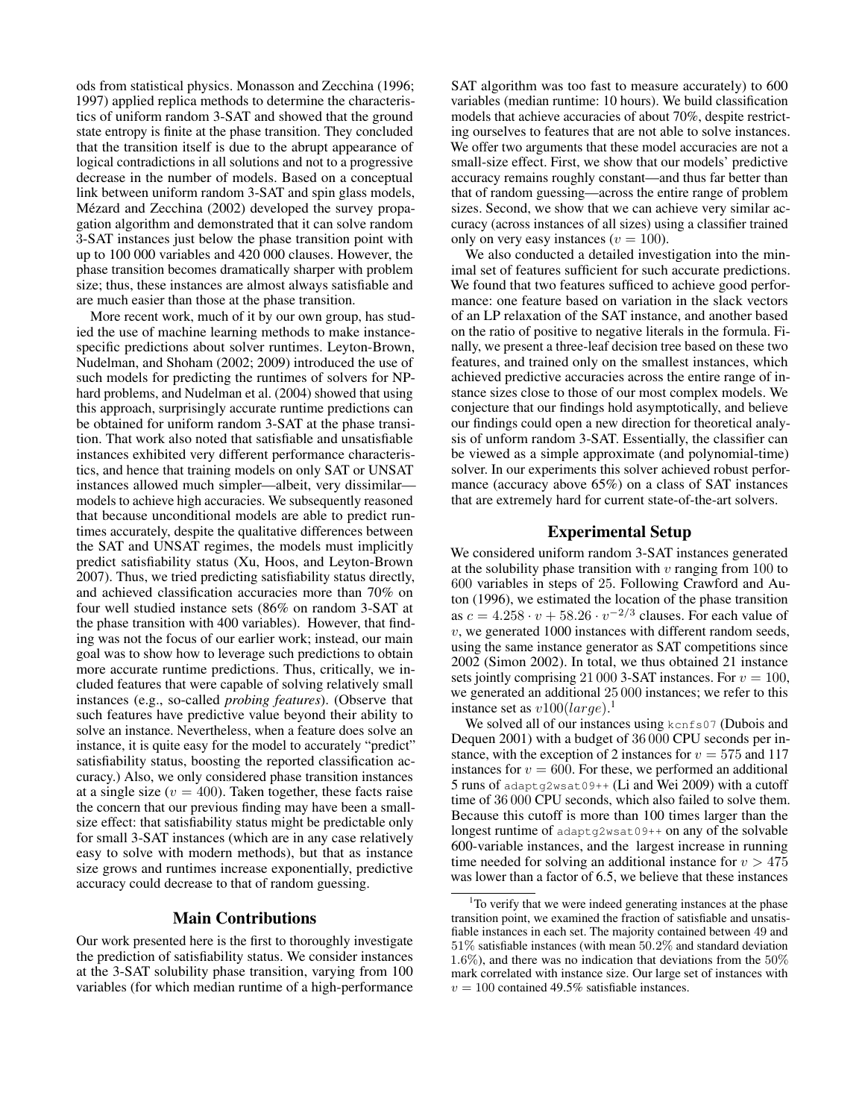ods from statistical physics. Monasson and Zecchina (1996; 1997) applied replica methods to determine the characteristics of uniform random 3-SAT and showed that the ground state entropy is finite at the phase transition. They concluded that the transition itself is due to the abrupt appearance of logical contradictions in all solutions and not to a progressive decrease in the number of models. Based on a conceptual link between uniform random 3-SAT and spin glass models, Mézard and Zecchina (2002) developed the survey propagation algorithm and demonstrated that it can solve random 3-SAT instances just below the phase transition point with up to 100 000 variables and 420 000 clauses. However, the phase transition becomes dramatically sharper with problem size; thus, these instances are almost always satisfiable and are much easier than those at the phase transition.

More recent work, much of it by our own group, has studied the use of machine learning methods to make instancespecific predictions about solver runtimes. Leyton-Brown, Nudelman, and Shoham (2002; 2009) introduced the use of such models for predicting the runtimes of solvers for NPhard problems, and Nudelman et al. (2004) showed that using this approach, surprisingly accurate runtime predictions can be obtained for uniform random 3-SAT at the phase transition. That work also noted that satisfiable and unsatisfiable instances exhibited very different performance characteristics, and hence that training models on only SAT or UNSAT instances allowed much simpler—albeit, very dissimilar models to achieve high accuracies. We subsequently reasoned that because unconditional models are able to predict runtimes accurately, despite the qualitative differences between the SAT and UNSAT regimes, the models must implicitly predict satisfiability status (Xu, Hoos, and Leyton-Brown 2007). Thus, we tried predicting satisfiability status directly, and achieved classification accuracies more than 70% on four well studied instance sets (86% on random 3-SAT at the phase transition with 400 variables). However, that finding was not the focus of our earlier work; instead, our main goal was to show how to leverage such predictions to obtain more accurate runtime predictions. Thus, critically, we included features that were capable of solving relatively small instances (e.g., so-called *probing features*). (Observe that such features have predictive value beyond their ability to solve an instance. Nevertheless, when a feature does solve an instance, it is quite easy for the model to accurately "predict" satisfiability status, boosting the reported classification accuracy.) Also, we only considered phase transition instances at a single size ( $v = 400$ ). Taken together, these facts raise the concern that our previous finding may have been a smallsize effect: that satisfiability status might be predictable only for small 3-SAT instances (which are in any case relatively easy to solve with modern methods), but that as instance size grows and runtimes increase exponentially, predictive accuracy could decrease to that of random guessing.

### Main Contributions

Our work presented here is the first to thoroughly investigate the prediction of satisfiability status. We consider instances at the 3-SAT solubility phase transition, varying from 100 variables (for which median runtime of a high-performance SAT algorithm was too fast to measure accurately) to 600 variables (median runtime: 10 hours). We build classification models that achieve accuracies of about 70%, despite restricting ourselves to features that are not able to solve instances. We offer two arguments that these model accuracies are not a small-size effect. First, we show that our models' predictive accuracy remains roughly constant—and thus far better than that of random guessing—across the entire range of problem sizes. Second, we show that we can achieve very similar accuracy (across instances of all sizes) using a classifier trained only on very easy instances ( $v = 100$ ).

We also conducted a detailed investigation into the minimal set of features sufficient for such accurate predictions. We found that two features sufficed to achieve good performance: one feature based on variation in the slack vectors of an LP relaxation of the SAT instance, and another based on the ratio of positive to negative literals in the formula. Finally, we present a three-leaf decision tree based on these two features, and trained only on the smallest instances, which achieved predictive accuracies across the entire range of instance sizes close to those of our most complex models. We conjecture that our findings hold asymptotically, and believe our findings could open a new direction for theoretical analysis of unform random 3-SAT. Essentially, the classifier can be viewed as a simple approximate (and polynomial-time) solver. In our experiments this solver achieved robust performance (accuracy above 65%) on a class of SAT instances that are extremely hard for current state-of-the-art solvers.

## Experimental Setup

We considered uniform random 3-SAT instances generated at the solubility phase transition with  $v$  ranging from 100 to 600 variables in steps of 25. Following Crawford and Auton (1996), we estimated the location of the phase transition as  $c = 4.258 \cdot v + 58.26 \cdot v^{-2/3}$  clauses. For each value of  $v$ , we generated 1000 instances with different random seeds, using the same instance generator as SAT competitions since 2002 (Simon 2002). In total, we thus obtained 21 instance sets jointly comprising 21 000 3-SAT instances. For  $v = 100$ , we generated an additional 25 000 instances; we refer to this instance set as  $v100(large)$ .<sup>1</sup>

We solved all of our instances using kcnfs07 (Dubois and Dequen 2001) with a budget of 36 000 CPU seconds per instance, with the exception of 2 instances for  $v = 575$  and 117 instances for  $v = 600$ . For these, we performed an additional 5 runs of adaptg2wsat09++ (Li and Wei 2009) with a cutoff time of 36 000 CPU seconds, which also failed to solve them. Because this cutoff is more than 100 times larger than the longest runtime of adaptg2wsat09++ on any of the solvable 600-variable instances, and the largest increase in running time needed for solving an additional instance for  $v > 475$ was lower than a factor of 6.5, we believe that these instances

 $1$ <sup>1</sup>To verify that we were indeed generating instances at the phase transition point, we examined the fraction of satisfiable and unsatisfiable instances in each set. The majority contained between 49 and 51% satisfiable instances (with mean 50.2% and standard deviation 1.6%), and there was no indication that deviations from the 50% mark correlated with instance size. Our large set of instances with  $v = 100$  contained 49.5% satisfiable instances.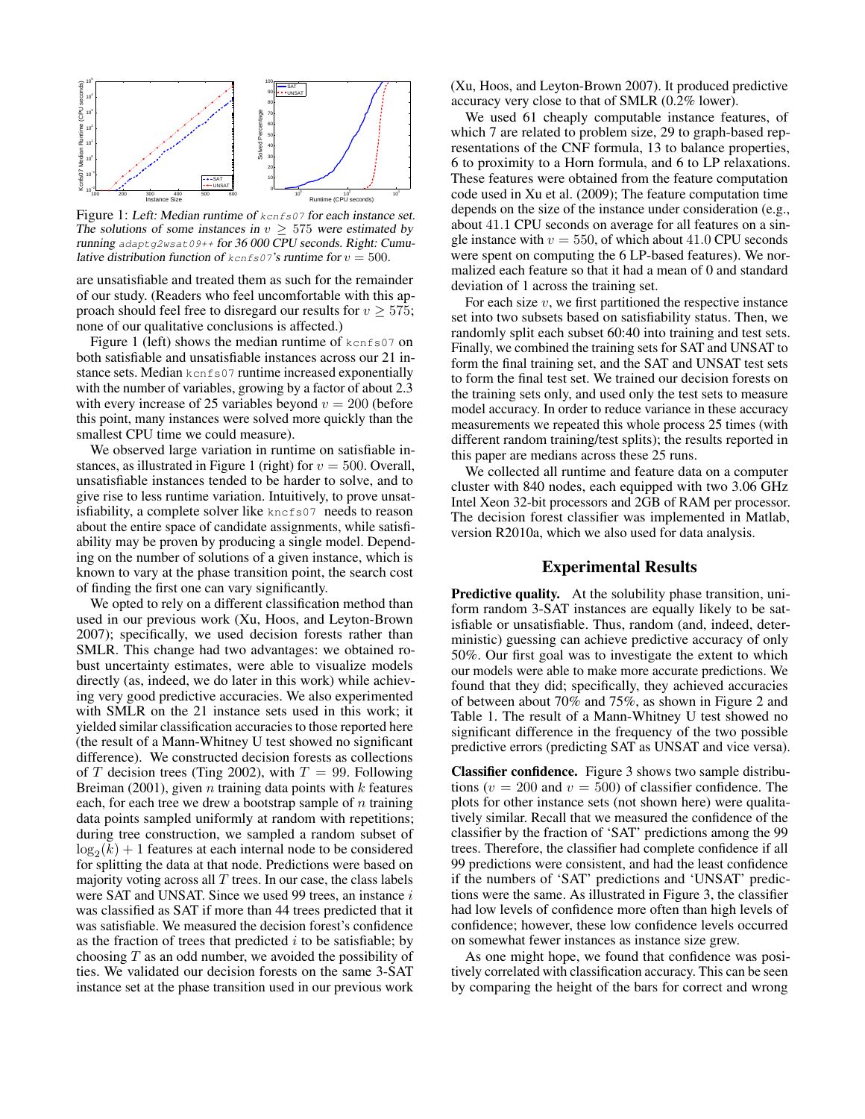

Figure 1: Left: Median runtime of kcnfs07 for each instance set. The solutions of some instances in  $v \geq 575$  were estimated by running adaptg2wsat09++ for 36 000 CPU seconds. Right: Cumulative distribution function of  $kcnfs07's$  runtime for  $v = 500$ .

are unsatisfiable and treated them as such for the remainder of our study. (Readers who feel uncomfortable with this approach should feel free to disregard our results for  $v \geq 575$ ; none of our qualitative conclusions is affected.)

Figure 1 (left) shows the median runtime of kcnfs07 on both satisfiable and unsatisfiable instances across our 21 instance sets. Median kcnfs07 runtime increased exponentially with the number of variables, growing by a factor of about 2.3 with every increase of 25 variables beyond  $v = 200$  (before this point, many instances were solved more quickly than the smallest CPU time we could measure).

We observed large variation in runtime on satisfiable instances, as illustrated in Figure 1 (right) for  $v = 500$ . Overall, unsatisfiable instances tended to be harder to solve, and to give rise to less runtime variation. Intuitively, to prove unsatisfiability, a complete solver like kncfs07 needs to reason about the entire space of candidate assignments, while satisfiability may be proven by producing a single model. Depending on the number of solutions of a given instance, which is known to vary at the phase transition point, the search cost of finding the first one can vary significantly.

We opted to rely on a different classification method than used in our previous work (Xu, Hoos, and Leyton-Brown 2007); specifically, we used decision forests rather than SMLR. This change had two advantages: we obtained robust uncertainty estimates, were able to visualize models directly (as, indeed, we do later in this work) while achieving very good predictive accuracies. We also experimented with SMLR on the 21 instance sets used in this work; it yielded similar classification accuracies to those reported here (the result of a Mann-Whitney U test showed no significant difference). We constructed decision forests as collections of T decision trees (Ting 2002), with  $T = 99$ . Following Breiman (2001), given  $n$  training data points with  $k$  features each, for each tree we drew a bootstrap sample of  $n$  training data points sampled uniformly at random with repetitions; during tree construction, we sampled a random subset of  $log_2(k) + 1$  features at each internal node to be considered for splitting the data at that node. Predictions were based on majority voting across all  $T$  trees. In our case, the class labels were SAT and UNSAT. Since we used 99 trees, an instance i was classified as SAT if more than 44 trees predicted that it was satisfiable. We measured the decision forest's confidence as the fraction of trees that predicted  $i$  to be satisfiable; by choosing  $T$  as an odd number, we avoided the possibility of ties. We validated our decision forests on the same 3-SAT instance set at the phase transition used in our previous work (Xu, Hoos, and Leyton-Brown 2007). It produced predictive accuracy very close to that of SMLR (0.2% lower).

We used 61 cheaply computable instance features, of which 7 are related to problem size, 29 to graph-based representations of the CNF formula, 13 to balance properties, 6 to proximity to a Horn formula, and 6 to LP relaxations. These features were obtained from the feature computation code used in Xu et al. (2009); The feature computation time depends on the size of the instance under consideration (e.g., about 41.1 CPU seconds on average for all features on a single instance with  $v = 550$ , of which about 41.0 CPU seconds were spent on computing the 6 LP-based features). We normalized each feature so that it had a mean of 0 and standard deviation of 1 across the training set.

For each size  $v$ , we first partitioned the respective instance set into two subsets based on satisfiability status. Then, we randomly split each subset 60:40 into training and test sets. Finally, we combined the training sets for SAT and UNSAT to form the final training set, and the SAT and UNSAT test sets to form the final test set. We trained our decision forests on the training sets only, and used only the test sets to measure model accuracy. In order to reduce variance in these accuracy measurements we repeated this whole process 25 times (with different random training/test splits); the results reported in this paper are medians across these 25 runs.

We collected all runtime and feature data on a computer cluster with 840 nodes, each equipped with two 3.06 GHz Intel Xeon 32-bit processors and 2GB of RAM per processor. The decision forest classifier was implemented in Matlab, version R2010a, which we also used for data analysis.

### Experimental Results

**Predictive quality.** At the solubility phase transition, uniform random 3-SAT instances are equally likely to be satisfiable or unsatisfiable. Thus, random (and, indeed, deterministic) guessing can achieve predictive accuracy of only 50%. Our first goal was to investigate the extent to which our models were able to make more accurate predictions. We found that they did; specifically, they achieved accuracies of between about 70% and 75%, as shown in Figure 2 and Table 1. The result of a Mann-Whitney U test showed no significant difference in the frequency of the two possible predictive errors (predicting SAT as UNSAT and vice versa).

Classifier confidence. Figure 3 shows two sample distributions ( $v = 200$  and  $v = 500$ ) of classifier confidence. The plots for other instance sets (not shown here) were qualitatively similar. Recall that we measured the confidence of the classifier by the fraction of 'SAT' predictions among the 99 trees. Therefore, the classifier had complete confidence if all 99 predictions were consistent, and had the least confidence if the numbers of 'SAT' predictions and 'UNSAT' predictions were the same. As illustrated in Figure 3, the classifier had low levels of confidence more often than high levels of confidence; however, these low confidence levels occurred on somewhat fewer instances as instance size grew.

As one might hope, we found that confidence was positively correlated with classification accuracy. This can be seen by comparing the height of the bars for correct and wrong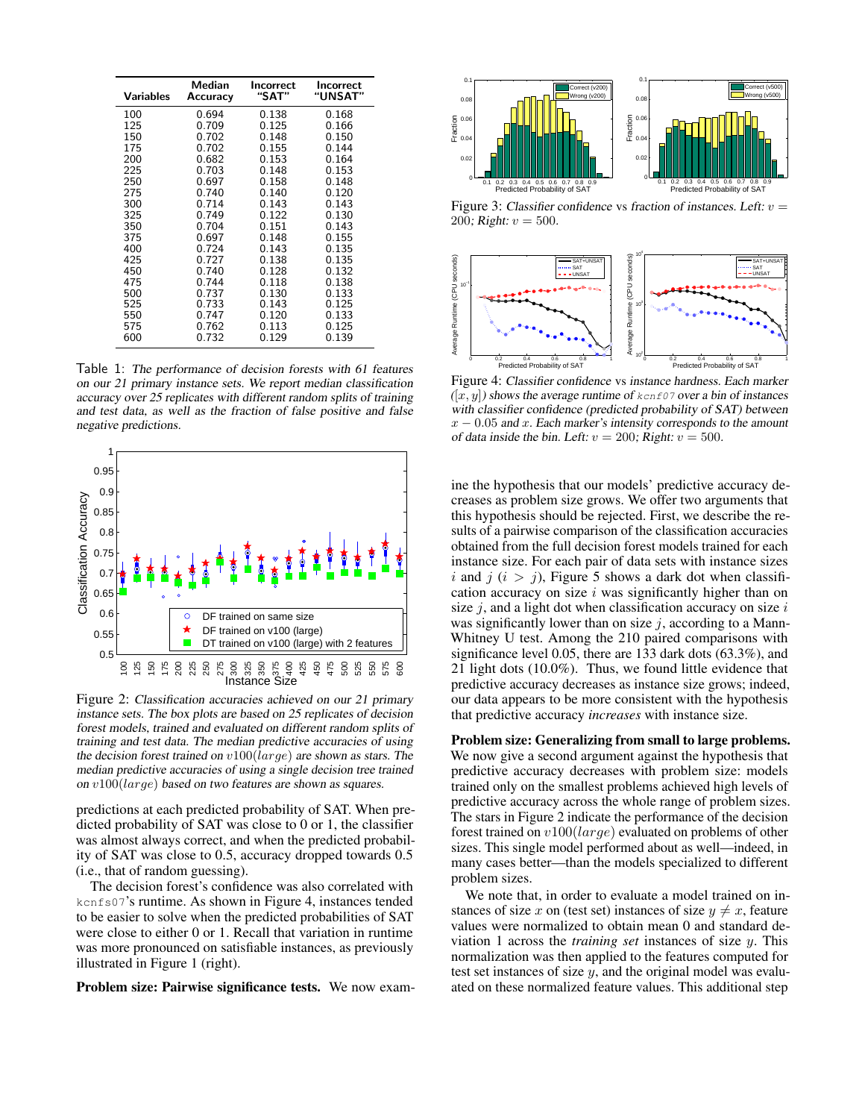| Variables | Median<br>Accuracy | Incorrect<br>"SAT" | Incorrect<br><b>"UNSAT"</b> |  |
|-----------|--------------------|--------------------|-----------------------------|--|
| 100       | 0.694              | 0.138              | 0.168                       |  |
| 125       | 0.709              | 0.125              | 0.166                       |  |
| 150       | 0.702              | 0.148              | 0.150                       |  |
| 175       | 0.702              | 0.155              | 0.144                       |  |
| 200       | 0.682              | 0.153              | 0.164                       |  |
| 225       | 0.703              | 0.148              | 0.153                       |  |
| 250       | 0.697              | 0.158              | 0.148                       |  |
| 275       | 0.740              | 0.140              | 0.120                       |  |
| 300       | 0.714              | 0.143              | 0.143                       |  |
| 325       | 0.749              | 0.122              | 0.130                       |  |
| 350       | 0.704              | 0.151              | 0.143                       |  |
| 375       | 0.697              | 0.148              | 0.155                       |  |
| 400       | 0.724              | 0.143              | 0.135                       |  |
| 425       | 0.727              | 0.138              | 0.135                       |  |
| 450       | 0.740              | 0.128              | 0.132                       |  |
| 475       | 0.744              | 0.118              | 0.138                       |  |
| 500       | 0.737              | 0.130              | 0.133                       |  |
| 525       | 0.733              | 0.143              | 0.125                       |  |
| 550       | 0.747              | 0.120              | 0.133                       |  |
| 575       | 0.762              | 0.113              | 0.125                       |  |
| 600       | 0.732              | 0.129              | 0.139                       |  |

Table 1: The performance of decision forests with 61 features on our 21 primary instance sets. We report median classification accuracy over 25 replicates with different random splits of training and test data, as well as the fraction of false positive and false negative predictions.



Figure 2: Classification accuracies achieved on our 21 primary instance sets. The box plots are based on 25 replicates of decision forest models, trained and evaluated on different random splits of training and test data. The median predictive accuracies of using the decision forest trained on  $v100(large)$  are shown as stars. The median predictive accuracies of using a single decision tree trained on v100(large) based on two features are shown as squares.

predictions at each predicted probability of SAT. When predicted probability of SAT was close to 0 or 1, the classifier was almost always correct, and when the predicted probability of SAT was close to 0.5, accuracy dropped towards 0.5 (i.e., that of random guessing).

The decision forest's confidence was also correlated with kcnfs07's runtime. As shown in Figure 4, instances tended to be easier to solve when the predicted probabilities of SAT were close to either 0 or 1. Recall that variation in runtime was more pronounced on satisfiable instances, as previously illustrated in Figure 1 (right).

Problem size: Pairwise significance tests. We now exam-



Figure 3: Classifier confidence vs fraction of instances. Left:  $v =$ 200; Right:  $v = 500$ .



Figure 4: Classifier confidence vs instance hardness. Each marker  $([x, y])$  shows the average runtime of  $kcnf07$  over a bin of instances with classifier confidence (predicted probability of SAT) between  $x - 0.05$  and x. Each marker's intensity corresponds to the amount of data inside the bin. Left:  $v = 200$ ; Right:  $v = 500$ .

ine the hypothesis that our models' predictive accuracy decreases as problem size grows. We offer two arguments that this hypothesis should be rejected. First, we describe the results of a pairwise comparison of the classification accuracies obtained from the full decision forest models trained for each instance size. For each pair of data sets with instance sizes i and  $j(i > j)$ , Figure 5 shows a dark dot when classification accuracy on size  $i$  was significantly higher than on size  $j$ , and a light dot when classification accuracy on size  $i$ was significantly lower than on size  $j$ , according to a Mann-Whitney U test. Among the 210 paired comparisons with significance level 0.05, there are 133 dark dots (63.3%), and 21 light dots (10.0%). Thus, we found little evidence that predictive accuracy decreases as instance size grows; indeed, our data appears to be more consistent with the hypothesis that predictive accuracy *increases* with instance size.

Problem size: Generalizing from small to large problems. We now give a second argument against the hypothesis that predictive accuracy decreases with problem size: models trained only on the smallest problems achieved high levels of predictive accuracy across the whole range of problem sizes. The stars in Figure 2 indicate the performance of the decision forest trained on  $v100(large)$  evaluated on problems of other sizes. This single model performed about as well—indeed, in many cases better—than the models specialized to different problem sizes.

We note that, in order to evaluate a model trained on instances of size x on (test set) instances of size  $y \neq x$ , feature values were normalized to obtain mean 0 and standard deviation 1 across the *training set* instances of size y. This normalization was then applied to the features computed for test set instances of size  $y$ , and the original model was evaluated on these normalized feature values. This additional step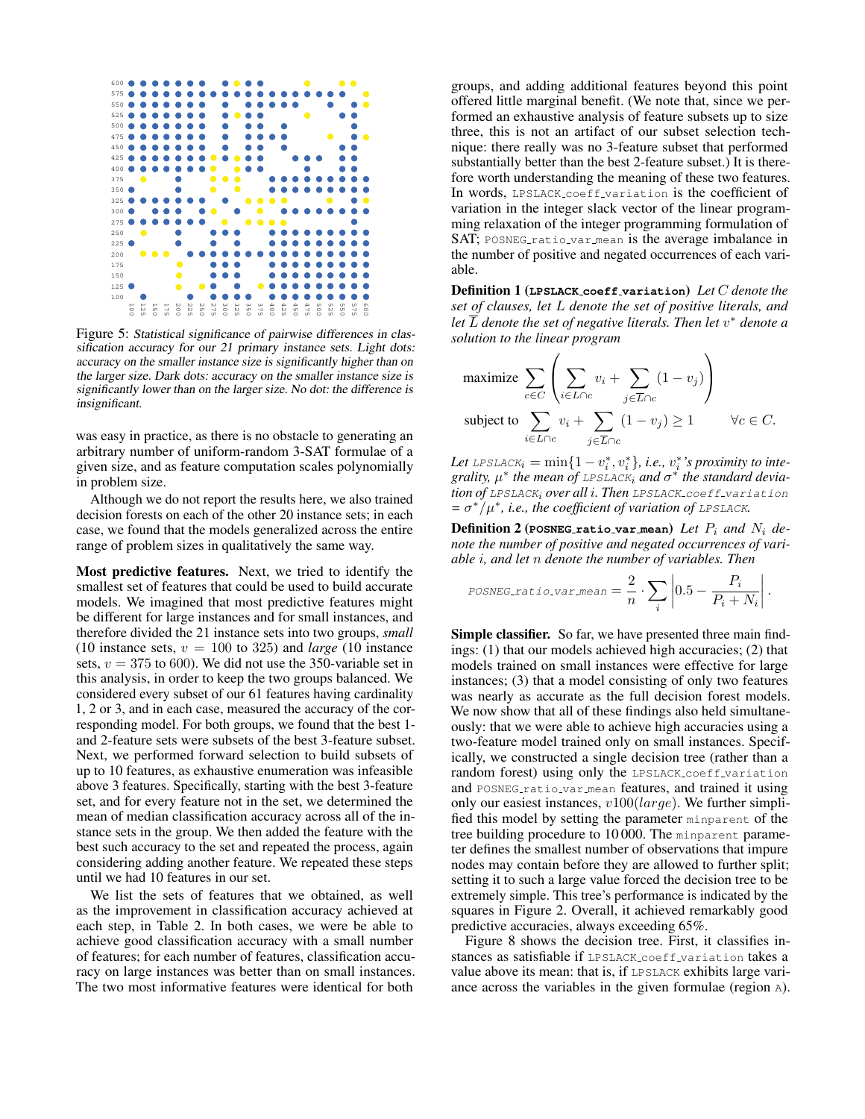

Figure 5: Statistical significance of pairwise differences in classification accuracy for our 21 primary instance sets. Light dots: accuracy on the smaller instance size is significantly higher than on the larger size. Dark dots: accuracy on the smaller instance size is significantly lower than on the larger size. No dot: the difference is insignificant.

was easy in practice, as there is no obstacle to generating an arbitrary number of uniform-random 3-SAT formulae of a given size, and as feature computation scales polynomially in problem size.

Although we do not report the results here, we also trained decision forests on each of the other 20 instance sets; in each case, we found that the models generalized across the entire range of problem sizes in qualitatively the same way.

Most predictive features. Next, we tried to identify the smallest set of features that could be used to build accurate models. We imagined that most predictive features might be different for large instances and for small instances, and therefore divided the 21 instance sets into two groups, *small* (10 instance sets,  $v = 100$  to 325) and *large* (10 instance sets,  $v = 375$  to 600). We did not use the 350-variable set in this analysis, in order to keep the two groups balanced. We considered every subset of our 61 features having cardinality 1, 2 or 3, and in each case, measured the accuracy of the corresponding model. For both groups, we found that the best 1 and 2-feature sets were subsets of the best 3-feature subset. Next, we performed forward selection to build subsets of up to 10 features, as exhaustive enumeration was infeasible above 3 features. Specifically, starting with the best 3-feature set, and for every feature not in the set, we determined the mean of median classification accuracy across all of the instance sets in the group. We then added the feature with the best such accuracy to the set and repeated the process, again considering adding another feature. We repeated these steps until we had 10 features in our set.

We list the sets of features that we obtained, as well as the improvement in classification accuracy achieved at each step, in Table 2. In both cases, we were be able to achieve good classification accuracy with a small number of features; for each number of features, classification accuracy on large instances was better than on small instances. The two most informative features were identical for both

groups, and adding additional features beyond this point offered little marginal benefit. (We note that, since we performed an exhaustive analysis of feature subsets up to size three, this is not an artifact of our subset selection technique: there really was no 3-feature subset that performed substantially better than the best 2-feature subset.) It is therefore worth understanding the meaning of these two features. In words, LPSLACK coeff variation is the coefficient of variation in the integer slack vector of the linear programming relaxation of the integer programming formulation of SAT; POSNEG\_ratio\_var\_mean is the average imbalance in the number of positive and negated occurrences of each variable.

Definition 1 (**LPSLACK coeff variation**) *Let* C *denote the set of clauses, let* L *denote the set of positive literals, and* let  $\overline{L}$  denote the set of negative literals. Then let  $v^*$  denote a *solution to the linear program*

$$
\begin{aligned}\n\text{maximize } & \sum_{c \in C} \left( \sum_{i \in L \cap c} v_i + \sum_{j \in \overline{L} \cap c} (1 - v_j) \right) \\
\text{subject to } & \sum_{i \in L \cap c} v_i + \sum_{j \in \overline{L} \cap c} (1 - v_j) \ge 1 \qquad \forall c \in C.\n\end{aligned}
$$

Let LPSLAC $\kappa_i = \min\{1 - v_i^*, v_i^*\}$ , i.e.,  $v_i^*$ 's proximity to inte*grality,* µ ∗ *the mean of* LPSLACK<sup>i</sup> *and* σ ∗ *the standard deviation of* LPSLACK<sup>i</sup> *over all* i*. Then* LPSLACK coeff variation  $= \frac{\sigma^*}{\mu^*}$ , *i.e., the coefficient of variation of LPSLACK.* 

**Definition 2** (**POSNEG\_ratio\_var\_mean**) Let  $P_i$  and  $N_i$  de*note the number of positive and negated occurrences of variable* i*, and let* n *denote the number of variables. Then*

$$
posNEG\_ratio\_var\_mean = \frac{2}{n} \cdot \sum_{i} \left| 0.5 - \frac{P_i}{P_i + N_i} \right|.
$$

Simple classifier. So far, we have presented three main findings: (1) that our models achieved high accuracies; (2) that models trained on small instances were effective for large instances; (3) that a model consisting of only two features was nearly as accurate as the full decision forest models. We now show that all of these findings also held simultaneously: that we were able to achieve high accuracies using a two-feature model trained only on small instances. Specifically, we constructed a single decision tree (rather than a random forest) using only the LPSLACK coeff variation and POSNEG\_ratio\_var\_mean features, and trained it using only our easiest instances,  $v100(large)$ . We further simplified this model by setting the parameter minparent of the tree building procedure to 10 000. The minparent parameter defines the smallest number of observations that impure nodes may contain before they are allowed to further split; setting it to such a large value forced the decision tree to be extremely simple. This tree's performance is indicated by the squares in Figure 2. Overall, it achieved remarkably good predictive accuracies, always exceeding 65%.

Figure 8 shows the decision tree. First, it classifies instances as satisfiable if LPSLACK\_coeff\_variation takes a value above its mean: that is, if LPSLACK exhibits large variance across the variables in the given formulae (region A).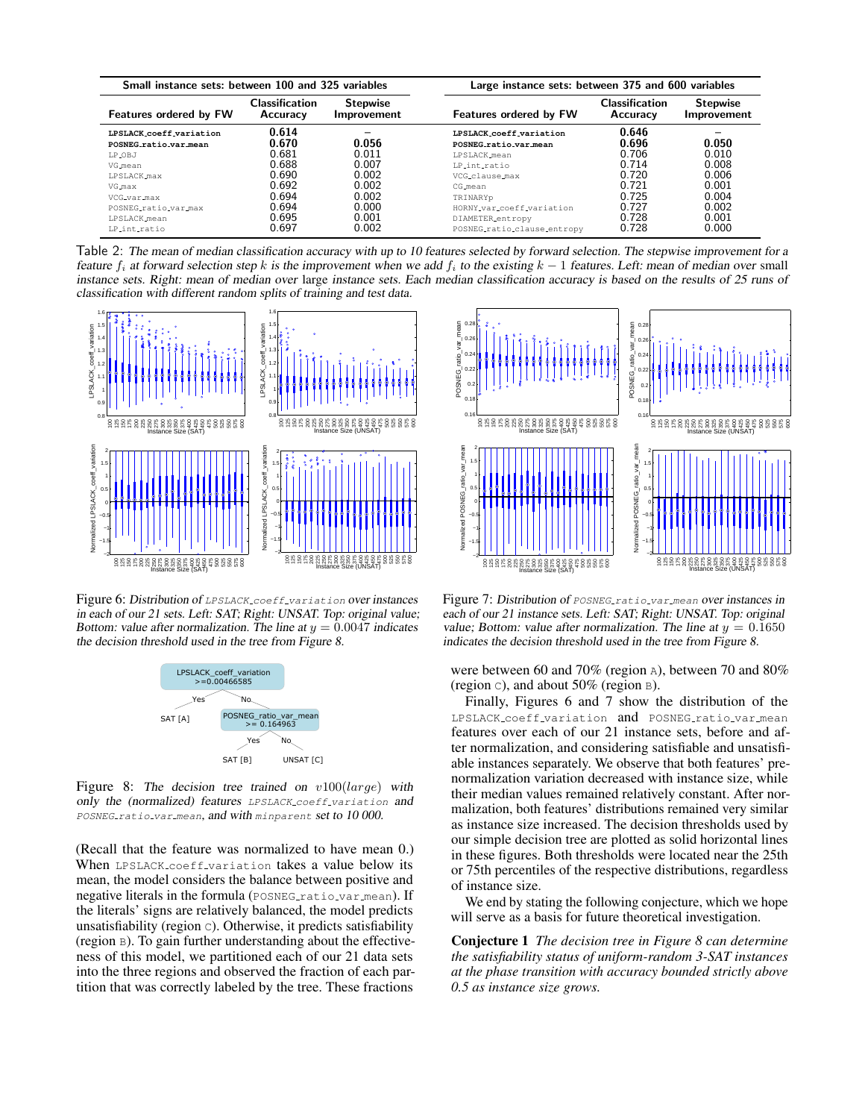| Small instance sets: between 100 and 325 variables                                                                                                                    |                                                                                        |                                                                                    | Large instance sets: between 375 and 600 variables                                                                                                                                                        |                                                                                        |                                                                               |
|-----------------------------------------------------------------------------------------------------------------------------------------------------------------------|----------------------------------------------------------------------------------------|------------------------------------------------------------------------------------|-----------------------------------------------------------------------------------------------------------------------------------------------------------------------------------------------------------|----------------------------------------------------------------------------------------|-------------------------------------------------------------------------------|
| <b>Features ordered by FW</b>                                                                                                                                         | <b>Classification</b><br><b>Accuracy</b>                                               | <b>Stepwise</b><br><b>Improvement</b>                                              | <b>Features ordered by FW</b>                                                                                                                                                                             | <b>Classification</b><br>Accuracy                                                      | <b>Stepwise</b><br><b>Improvement</b>                                         |
| LPSLACK coeff variation<br>POSNEG_ratio_var_mean<br>LP_OBJ<br>VG mean<br>LPSLACK_max<br>VG max<br>VCG_var_max<br>POSNEG_ratio_var_max<br>LPSLACK_mean<br>LP_int_ratio | 0.614<br>0.670<br>0.681<br>0.688<br>0.690<br>0.692<br>0.694<br>0.694<br>0.695<br>0.697 | -<br>0.056<br>0.011<br>0.007<br>0.002<br>0.002<br>0.002<br>0.000<br>0.001<br>0.002 | LPSLACK_coeff_variation<br>POSNEG ratio var mean<br>LPSLACK_mean<br>LP_int_ratio<br>VCG clause max<br>CG mean<br>TRINARYp<br>HORNY var coeff variation<br>DIAMETER_entropy<br>POSNEG_ratio_clause_entropy | 0.646<br>0.696<br>0.706<br>0.714<br>0.720<br>0.721<br>0.725<br>0.727<br>0.728<br>0.728 | 0.050<br>0.010<br>0.008<br>0.006<br>0.001<br>0.004<br>0.002<br>0.001<br>0.000 |

Table 2: The mean of median classification accuracy with up to 10 features selected by forward selection. The stepwise improvement for a feature  $f_i$  at forward selection step k is the improvement when we add  $f_i$  to the existing  $k - 1$  features. Left: mean of median over small instance sets. Right: mean of median over large instance sets. Each median classification accuracy is based on the results of 25 runs of classification with different random splits of training and test data.



Figure 6: Distribution of LPSLACK coeff variation over instances in each of our 21 sets. Left: SAT; Right: UNSAT. Top: original value; Bottom: value after normalization. The line at  $y = 0.0047$  indicates the decision threshold used in the tree from Figure 8.



Figure 8: The decision tree trained on  $v100(large)$  with only the (normalized) features LPSLACK\_coeff\_variation and POSNEG\_ratio\_var\_mean, and with minparent set to 10 000.

(Recall that the feature was normalized to have mean 0.) When LPSLACK coeff variation takes a value below its mean, the model considers the balance between positive and negative literals in the formula (POSNEG\_ratio\_var\_mean). If the literals' signs are relatively balanced, the model predicts unsatisfiability (region c). Otherwise, it predicts satisfiability (region B). To gain further understanding about the effectiveness of this model, we partitioned each of our 21 data sets into the three regions and observed the fraction of each partition that was correctly labeled by the tree. These fractions



Figure 7: Distribution of POSNEG\_ratio\_var\_mean over instances in each of our 21 instance sets. Left: SAT; Right: UNSAT. Top: original value; Bottom: value after normalization. The line at  $y = 0.1650$ indicates the decision threshold used in the tree from Figure 8.

were between 60 and 70% (region A), between 70 and 80% (region  $\circ$ ), and about 50% (region  $\circ$ ).

Finally, Figures 6 and 7 show the distribution of the LPSLACK\_coeff\_variation and POSNEG\_ratio\_var\_mean features over each of our 21 instance sets, before and after normalization, and considering satisfiable and unsatisfiable instances separately. We observe that both features' prenormalization variation decreased with instance size, while their median values remained relatively constant. After normalization, both features' distributions remained very similar as instance size increased. The decision thresholds used by our simple decision tree are plotted as solid horizontal lines in these figures. Both thresholds were located near the 25th or 75th percentiles of the respective distributions, regardless of instance size.

We end by stating the following conjecture, which we hope will serve as a basis for future theoretical investigation.

Conjecture 1 *The decision tree in Figure 8 can determine the satisfiability status of uniform-random 3-SAT instances at the phase transition with accuracy bounded strictly above 0.5 as instance size grows.*